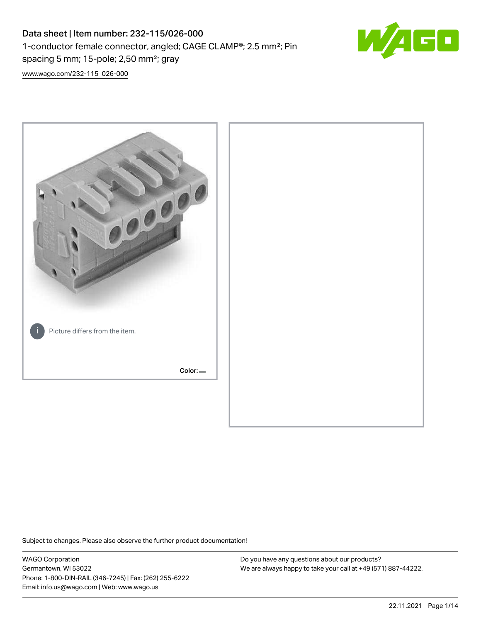# Data sheet | Item number: 232-115/026-000 1-conductor female connector, angled; CAGE CLAMP®; 2.5 mm²; Pin spacing 5 mm; 15-pole; 2,50 mm²; gray



[www.wago.com/232-115\\_026-000](http://www.wago.com/232-115_026-000)



Subject to changes. Please also observe the further product documentation!

WAGO Corporation Germantown, WI 53022 Phone: 1-800-DIN-RAIL (346-7245) | Fax: (262) 255-6222 Email: info.us@wago.com | Web: www.wago.us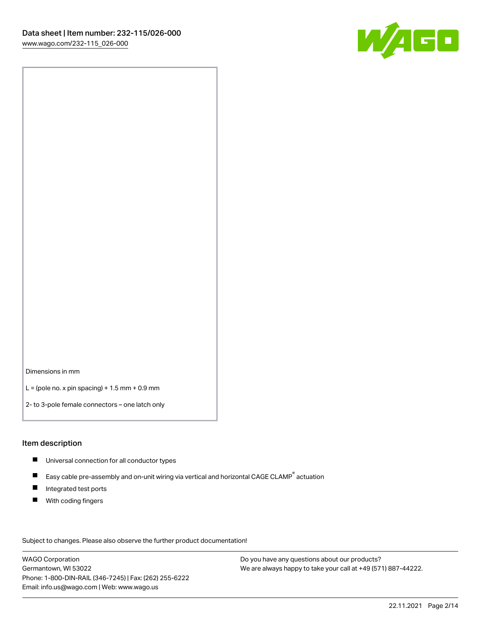

Dimensions in mm

 $L =$  (pole no. x pin spacing) + 1.5 mm + 0.9 mm

2- to 3-pole female connectors – one latch only

#### Item description

- **Universal connection for all conductor types**
- Easy cable pre-assembly and on-unit wiring via vertical and horizontal CAGE CLAMP<sup>®</sup> actuation  $\blacksquare$
- $\blacksquare$ Integrated test ports
- $\blacksquare$ With coding fingers

Subject to changes. Please also observe the further product documentation! Data

WAGO Corporation Germantown, WI 53022 Phone: 1-800-DIN-RAIL (346-7245) | Fax: (262) 255-6222 Email: info.us@wago.com | Web: www.wago.us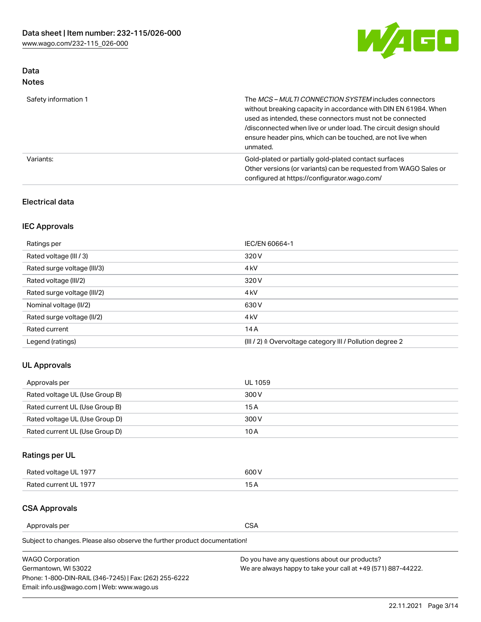

### Data Notes

| Safety information 1 | The MCS-MULTI CONNECTION SYSTEM includes connectors<br>without breaking capacity in accordance with DIN EN 61984. When<br>used as intended, these connectors must not be connected<br>/disconnected when live or under load. The circuit design should<br>ensure header pins, which can be touched, are not live when<br>unmated. |
|----------------------|-----------------------------------------------------------------------------------------------------------------------------------------------------------------------------------------------------------------------------------------------------------------------------------------------------------------------------------|
| Variants:            | Gold-plated or partially gold-plated contact surfaces<br>Other versions (or variants) can be requested from WAGO Sales or<br>configured at https://configurator.wago.com/                                                                                                                                                         |

### Electrical data

### IEC Approvals

| Ratings per                 | IEC/EN 60664-1                                                        |
|-----------------------------|-----------------------------------------------------------------------|
| Rated voltage (III / 3)     | 320 V                                                                 |
| Rated surge voltage (III/3) | 4 <sub>k</sub> V                                                      |
| Rated voltage (III/2)       | 320 V                                                                 |
| Rated surge voltage (III/2) | 4 <sub>k</sub> V                                                      |
| Nominal voltage (II/2)      | 630 V                                                                 |
| Rated surge voltage (II/2)  | 4 <sub>k</sub> V                                                      |
| Rated current               | 14A                                                                   |
| Legend (ratings)            | $(III / 2)$ $\triangle$ Overvoltage category III / Pollution degree 2 |

### UL Approvals

| Approvals per                  | UL 1059 |
|--------------------------------|---------|
| Rated voltage UL (Use Group B) | 300 V   |
| Rated current UL (Use Group B) | 15 A    |
| Rated voltage UL (Use Group D) | 300 V   |
| Rated current UL (Use Group D) | 10 A    |

## Ratings per UL

| Rated voltage UL 1977 | 600 V         |
|-----------------------|---------------|
| Rated current UL 1977 | $\sim$ $\sim$ |

### CSA Approvals

Approvals per CSA

| <b>WAGO Corporation</b>                                | Do you have any questions about our products?                 |
|--------------------------------------------------------|---------------------------------------------------------------|
| Germantown, WI 53022                                   | We are always happy to take your call at +49 (571) 887-44222. |
| Phone: 1-800-DIN-RAIL (346-7245)   Fax: (262) 255-6222 |                                                               |
| Email: info.us@wago.com   Web: www.wago.us             |                                                               |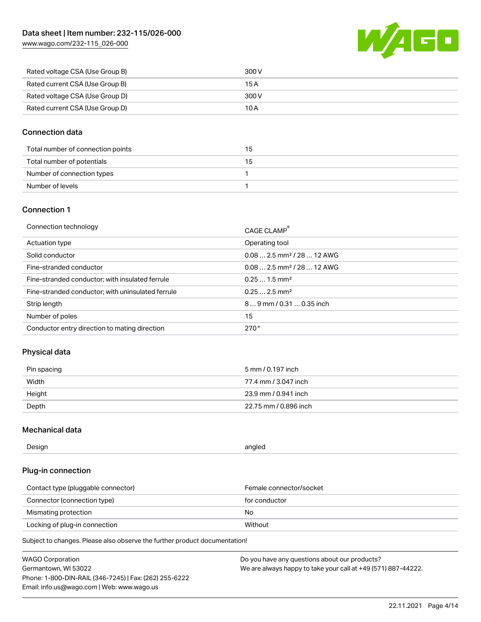[www.wago.com/232-115\\_026-000](http://www.wago.com/232-115_026-000)



| Rated voltage CSA (Use Group B) | 300 V |
|---------------------------------|-------|
| Rated current CSA (Use Group B) | 15 A  |
| Rated voltage CSA (Use Group D) | 300 V |
| Rated current CSA (Use Group D) | 10 A  |

### Connection data

| Total number of connection points | 15 |
|-----------------------------------|----|
| Total number of potentials        | 15 |
| Number of connection types        |    |
| Number of levels                  |    |

### Connection 1

| Connection technology                             | CAGE CLAMP®                             |
|---------------------------------------------------|-----------------------------------------|
| Actuation type                                    | Operating tool                          |
| Solid conductor                                   | $0.082.5$ mm <sup>2</sup> / 28  12 AWG  |
| Fine-stranded conductor                           | $0.08$ 2.5 mm <sup>2</sup> / 28  12 AWG |
| Fine-stranded conductor; with insulated ferrule   | $0.251.5$ mm <sup>2</sup>               |
| Fine-stranded conductor; with uninsulated ferrule | $0.252.5$ mm <sup>2</sup>               |
| Strip length                                      | $89$ mm $/$ 0.31  0.35 inch             |
| Number of poles                                   | 15                                      |
| Conductor entry direction to mating direction     | 270°                                    |

### Physical data

| Pin spacing | 5 mm / 0.197 inch     |
|-------------|-----------------------|
| Width       | 77.4 mm / 3.047 inch  |
| Height      | 23.9 mm / 0.941 inch  |
| Depth       | 22.75 mm / 0.896 inch |

### Mechanical data

| --<br>Design | angled<br>. . |
|--------------|---------------|
|              |               |

### Plug-in connection

| Contact type (pluggable connector) | Female connector/socket |
|------------------------------------|-------------------------|
| Connector (connection type)        | for conductor           |
| Mismating protection               | No.                     |
| Locking of plug-in connection      | Without                 |

| <b>WAGO Corporation</b>                                | Do you have any questions about our products?                 |
|--------------------------------------------------------|---------------------------------------------------------------|
| Germantown, WI 53022                                   | We are always happy to take your call at +49 (571) 887-44222. |
| Phone: 1-800-DIN-RAIL (346-7245)   Fax: (262) 255-6222 |                                                               |
| Email: info.us@wago.com   Web: www.wago.us             |                                                               |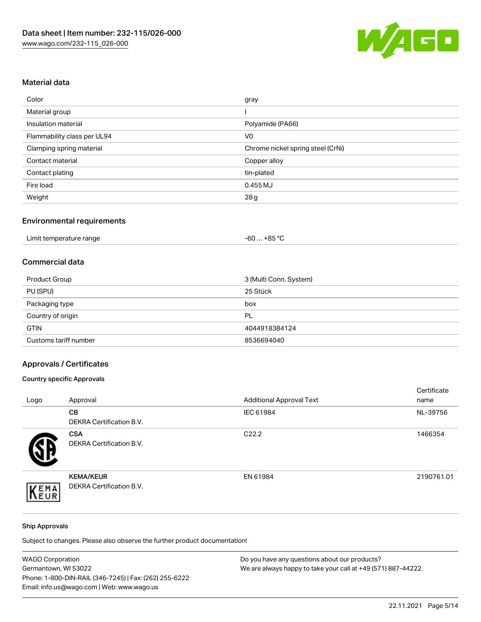

### Material data

| Color                       | gray                              |
|-----------------------------|-----------------------------------|
| Material group              |                                   |
| Insulation material         | Polyamide (PA66)                  |
| Flammability class per UL94 | V <sub>0</sub>                    |
| Clamping spring material    | Chrome nickel spring steel (CrNi) |
| Contact material            | Copper alloy                      |
| Contact plating             | tin-plated                        |
| Fire load                   | $0.455$ MJ                        |
| Weight                      | 28g                               |

## Environmental requirements

| Limit temperature range<br>.<br>$\blacksquare$ | . +85 °Ր<br>-60 |  |
|------------------------------------------------|-----------------|--|
|------------------------------------------------|-----------------|--|

### Commercial data

| Product Group         | 3 (Multi Conn. System) |
|-----------------------|------------------------|
| PU (SPU)              | 25 Stück               |
| Packaging type        | box                    |
| Country of origin     | PL                     |
| <b>GTIN</b>           | 4044918384124          |
| Customs tariff number | 8536694040             |

## Approvals / Certificates

### Country specific Approvals

| Logo | Approval                                            | <b>Additional Approval Text</b> | Certificate<br>name |
|------|-----------------------------------------------------|---------------------------------|---------------------|
|      | <b>CB</b><br><b>DEKRA Certification B.V.</b>        | IEC 61984                       | NL-39756            |
|      | <b>CSA</b><br>DEKRA Certification B.V.              | C <sub>22.2</sub>               | 1466354             |
| EMA  | <b>KEMA/KEUR</b><br><b>DEKRA Certification B.V.</b> | EN 61984                        | 2190761.01          |

#### Ship Approvals

| <b>WAGO Corporation</b>                                | Do you have any questions about our products?                 |
|--------------------------------------------------------|---------------------------------------------------------------|
| Germantown, WI 53022                                   | We are always happy to take your call at +49 (571) 887-44222. |
| Phone: 1-800-DIN-RAIL (346-7245)   Fax: (262) 255-6222 |                                                               |
| Email: info.us@wago.com   Web: www.wago.us             |                                                               |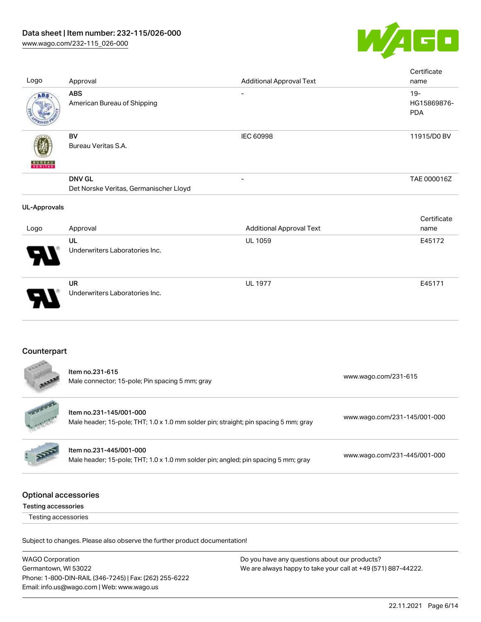

| Logo                                               | Approval                                                                                                        | <b>Additional Approval Text</b> | Certificate<br>name                 |
|----------------------------------------------------|-----------------------------------------------------------------------------------------------------------------|---------------------------------|-------------------------------------|
| ABS                                                | <b>ABS</b><br>American Bureau of Shipping                                                                       |                                 | $19 -$<br>HG15869876-<br><b>PDA</b> |
|                                                    | <b>BV</b><br>Bureau Veritas S.A.                                                                                | IEC 60998                       | 11915/D0 BV                         |
|                                                    | <b>DNV GL</b><br>Det Norske Veritas, Germanischer Lloyd                                                         |                                 | TAE 000016Z                         |
| <b>UL-Approvals</b>                                |                                                                                                                 |                                 |                                     |
| Logo                                               | Approval                                                                                                        | <b>Additional Approval Text</b> | Certificate<br>name                 |
|                                                    | UL<br>Underwriters Laboratories Inc.                                                                            | UL 1059                         | E45172                              |
|                                                    | <b>UR</b><br>Underwriters Laboratories Inc.                                                                     | <b>UL 1977</b>                  | E45171                              |
| Counterpart                                        |                                                                                                                 |                                 |                                     |
|                                                    | Item no.231-615<br>Male connector; 15-pole; Pin spacing 5 mm; gray                                              |                                 | www.wago.com/231-615                |
|                                                    | Item no.231-145/001-000<br>Male header; 15-pole; THT; 1.0 x 1.0 mm solder pin; straight; pin spacing 5 mm; gray |                                 | www.wago.com/231-145/001-000        |
|                                                    | Item no.231-445/001-000<br>Male header; 15-pole; THT; 1.0 x 1.0 mm solder pin; angled; pin spacing 5 mm; gray   |                                 | www.wago.com/231-445/001-000        |
| <b>Optional accessories</b><br>Testing accessories |                                                                                                                 |                                 |                                     |
| Testing accessories                                |                                                                                                                 |                                 |                                     |
|                                                    | Subject to changes. Please also observe the further product documentation!                                      |                                 |                                     |

WAGO Corporation Germantown, WI 53022 Phone: 1-800-DIN-RAIL (346-7245) | Fax: (262) 255-6222 Email: info.us@wago.com | Web: www.wago.us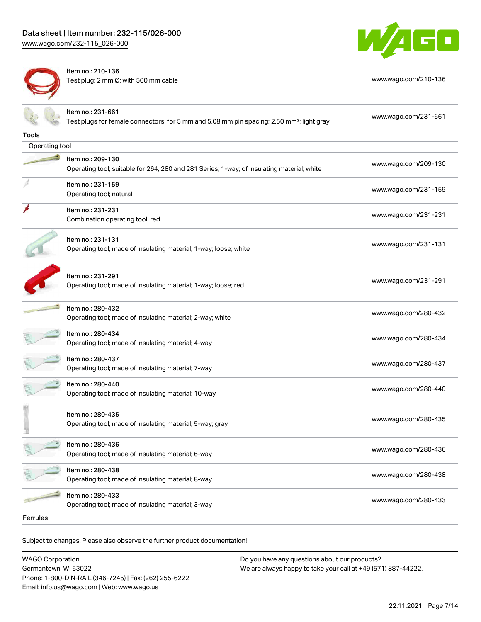[www.wago.com/232-115\\_026-000](http://www.wago.com/232-115_026-000)



Item no.: 210-136 Test plug; 2 mm Ø; with 500 mm cable [www.wago.com/210-136](http://www.wago.com/210-136)



|                | Item no.: 231-661<br>Test plugs for female connectors; for 5 mm and 5.08 mm pin spacing; 2,50 mm <sup>2</sup> ; light gray | www.wago.com/231-661 |
|----------------|----------------------------------------------------------------------------------------------------------------------------|----------------------|
| <b>Tools</b>   |                                                                                                                            |                      |
| Operating tool |                                                                                                                            |                      |
|                | Item no.: 209-130<br>Operating tool; suitable for 264, 280 and 281 Series; 1-way; of insulating material; white            | www.wago.com/209-130 |
|                | Item no.: 231-159<br>Operating tool; natural                                                                               | www.wago.com/231-159 |
|                | Item no.: 231-231<br>Combination operating tool; red                                                                       | www.wago.com/231-231 |
|                | Item no.: 231-131<br>Operating tool; made of insulating material; 1-way; loose; white                                      | www.wago.com/231-131 |
|                | Item no.: 231-291<br>Operating tool; made of insulating material; 1-way; loose; red                                        | www.wago.com/231-291 |
|                | Item no.: 280-432<br>Operating tool; made of insulating material; 2-way; white                                             | www.wago.com/280-432 |
|                | Item no.: 280-434<br>Operating tool; made of insulating material; 4-way                                                    | www.wago.com/280-434 |
|                | Item no.: 280-437<br>Operating tool; made of insulating material; 7-way                                                    | www.wago.com/280-437 |
|                | Item no.: 280-440<br>Operating tool; made of insulating material; 10-way                                                   | www.wago.com/280-440 |
|                | Item no.: 280-435<br>Operating tool; made of insulating material; 5-way; gray                                              | www.wago.com/280-435 |
|                | Item no.: 280-436<br>Operating tool; made of insulating material; 6-way                                                    | www.wago.com/280-436 |
|                | Item no.: 280-438<br>Operating tool; made of insulating material; 8-way                                                    | www.wago.com/280-438 |
|                | Item no.: 280-433<br>Operating tool; made of insulating material; 3-way                                                    | www.wago.com/280-433 |
| Ferrules       |                                                                                                                            |                      |

Subject to changes. Please also observe the further product documentation!

WAGO Corporation Germantown, WI 53022 Phone: 1-800-DIN-RAIL (346-7245) | Fax: (262) 255-6222 Email: info.us@wago.com | Web: www.wago.us Do you have any questions about our products? We are always happy to take your call at +49 (571) 887-44222.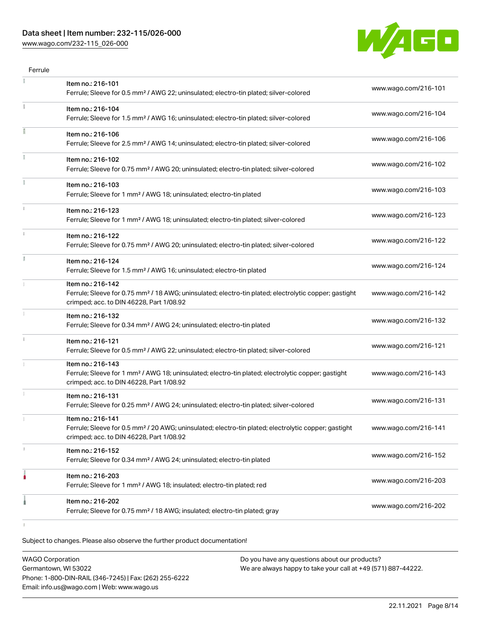### Data sheet | Item number: 232-115/026-000

[www.wago.com/232-115\\_026-000](http://www.wago.com/232-115_026-000)



| Item no.: 216-101                                                                                                                                                                  |                      |
|------------------------------------------------------------------------------------------------------------------------------------------------------------------------------------|----------------------|
| Ferrule; Sleeve for 0.5 mm <sup>2</sup> / AWG 22; uninsulated; electro-tin plated; silver-colored                                                                                  | www.wago.com/216-101 |
| Item no.: 216-104<br>Ferrule; Sleeve for 1.5 mm <sup>2</sup> / AWG 16; uninsulated; electro-tin plated; silver-colored                                                             | www.wago.com/216-104 |
| Item no.: 216-106<br>Ferrule; Sleeve for 2.5 mm <sup>2</sup> / AWG 14; uninsulated; electro-tin plated; silver-colored                                                             | www.wago.com/216-106 |
| Item no.: 216-102<br>Ferrule; Sleeve for 0.75 mm <sup>2</sup> / AWG 20; uninsulated; electro-tin plated; silver-colored                                                            | www.wago.com/216-102 |
| Item no.: 216-103<br>Ferrule; Sleeve for 1 mm <sup>2</sup> / AWG 18; uninsulated; electro-tin plated                                                                               | www.wago.com/216-103 |
| Item no.: 216-123<br>Ferrule; Sleeve for 1 mm <sup>2</sup> / AWG 18; uninsulated; electro-tin plated; silver-colored                                                               | www.wago.com/216-123 |
| Item no.: 216-122<br>Ferrule; Sleeve for 0.75 mm <sup>2</sup> / AWG 20; uninsulated; electro-tin plated; silver-colored                                                            | www.wago.com/216-122 |
| Item no.: 216-124<br>Ferrule; Sleeve for 1.5 mm <sup>2</sup> / AWG 16; uninsulated; electro-tin plated                                                                             | www.wago.com/216-124 |
| Item no.: 216-142<br>Ferrule; Sleeve for 0.75 mm <sup>2</sup> / 18 AWG; uninsulated; electro-tin plated; electrolytic copper; gastight<br>crimped; acc. to DIN 46228, Part 1/08.92 | www.wago.com/216-142 |
| Item no.: 216-132<br>Ferrule; Sleeve for 0.34 mm <sup>2</sup> / AWG 24; uninsulated; electro-tin plated                                                                            | www.wago.com/216-132 |
| Item no.: 216-121<br>Ferrule; Sleeve for 0.5 mm <sup>2</sup> / AWG 22; uninsulated; electro-tin plated; silver-colored                                                             | www.wago.com/216-121 |
| Item no.: 216-143<br>Ferrule; Sleeve for 1 mm <sup>2</sup> / AWG 18; uninsulated; electro-tin plated; electrolytic copper; gastight<br>crimped; acc. to DIN 46228, Part 1/08.92    | www.wago.com/216-143 |
| Item no.: 216-131<br>Ferrule; Sleeve for 0.25 mm <sup>2</sup> / AWG 24; uninsulated; electro-tin plated; silver-colored                                                            | www.wago.com/216-131 |
| Item no.: 216-141<br>Ferrule; Sleeve for 0.5 mm <sup>2</sup> / 20 AWG; uninsulated; electro-tin plated; electrolytic copper; gastight<br>crimped; acc. to DIN 46228, Part 1/08.92  | www.wago.com/216-141 |
| Item no.: 216-152<br>Ferrule; Sleeve for 0.34 mm <sup>2</sup> / AWG 24; uninsulated; electro-tin plated                                                                            | www.wago.com/216-152 |
| Item no.: 216-203<br>Ferrule; Sleeve for 1 mm <sup>2</sup> / AWG 18; insulated; electro-tin plated; red                                                                            | www.wago.com/216-203 |
| Item no.: 216-202                                                                                                                                                                  | www.wago.com/216-202 |
|                                                                                                                                                                                    |                      |

| <b>WAGO Corporation</b>                                | Do you have any questions about our products?                 |
|--------------------------------------------------------|---------------------------------------------------------------|
| Germantown, WI 53022                                   | We are always happy to take your call at +49 (571) 887-44222. |
| Phone: 1-800-DIN-RAIL (346-7245)   Fax: (262) 255-6222 |                                                               |
| Email: info.us@wago.com   Web: www.wago.us             |                                                               |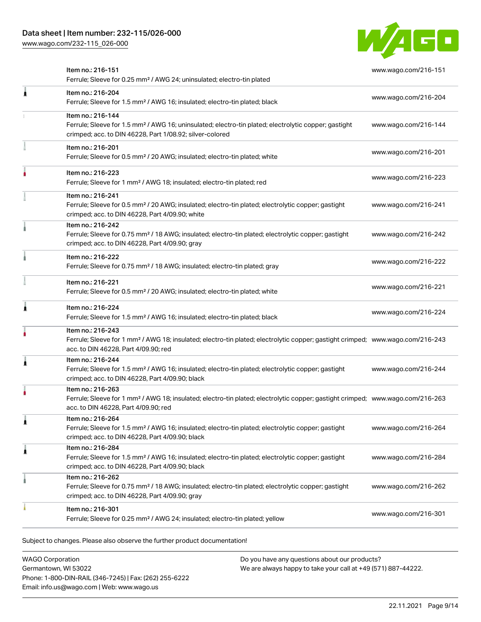[www.wago.com/232-115\\_026-000](http://www.wago.com/232-115_026-000)



|   | Item no.: 216-151<br>Ferrule; Sleeve for 0.25 mm <sup>2</sup> / AWG 24; uninsulated; electro-tin plated                                                                                                 | www.wago.com/216-151 |
|---|---------------------------------------------------------------------------------------------------------------------------------------------------------------------------------------------------------|----------------------|
| Â | Item no.: 216-204<br>Ferrule; Sleeve for 1.5 mm <sup>2</sup> / AWG 16; insulated; electro-tin plated; black                                                                                             | www.wago.com/216-204 |
|   | Item no.: 216-144<br>Ferrule; Sleeve for 1.5 mm <sup>2</sup> / AWG 16; uninsulated; electro-tin plated; electrolytic copper; gastight<br>crimped; acc. to DIN 46228, Part 1/08.92; silver-colored       | www.wago.com/216-144 |
|   | Item no.: 216-201<br>Ferrule; Sleeve for 0.5 mm <sup>2</sup> / 20 AWG; insulated; electro-tin plated; white                                                                                             | www.wago.com/216-201 |
|   | Item no.: 216-223<br>Ferrule; Sleeve for 1 mm <sup>2</sup> / AWG 18; insulated; electro-tin plated; red                                                                                                 | www.wago.com/216-223 |
|   | Item no.: 216-241<br>Ferrule; Sleeve for 0.5 mm <sup>2</sup> / 20 AWG; insulated; electro-tin plated; electrolytic copper; gastight<br>crimped; acc. to DIN 46228, Part 4/09.90; white                  | www.wago.com/216-241 |
|   | Item no.: 216-242<br>Ferrule; Sleeve for 0.75 mm <sup>2</sup> / 18 AWG; insulated; electro-tin plated; electrolytic copper; gastight<br>crimped; acc. to DIN 46228, Part 4/09.90; gray                  | www.wago.com/216-242 |
|   | Item no.: 216-222<br>Ferrule; Sleeve for 0.75 mm <sup>2</sup> / 18 AWG; insulated; electro-tin plated; gray                                                                                             | www.wago.com/216-222 |
|   | Item no.: 216-221<br>Ferrule; Sleeve for 0.5 mm <sup>2</sup> / 20 AWG; insulated; electro-tin plated; white                                                                                             | www.wago.com/216-221 |
| 1 | Item no.: 216-224<br>Ferrule; Sleeve for 1.5 mm <sup>2</sup> / AWG 16; insulated; electro-tin plated; black                                                                                             | www.wago.com/216-224 |
|   | Item no.: 216-243<br>Ferrule; Sleeve for 1 mm <sup>2</sup> / AWG 18; insulated; electro-tin plated; electrolytic copper; gastight crimped; www.wago.com/216-243<br>acc. to DIN 46228, Part 4/09.90; red |                      |
| Â | Item no.: 216-244<br>Ferrule; Sleeve for 1.5 mm <sup>2</sup> / AWG 16; insulated; electro-tin plated; electrolytic copper; gastight<br>crimped; acc. to DIN 46228, Part 4/09.90; black                  | www.wago.com/216-244 |
|   | Item no.: 216-263<br>Ferrule; Sleeve for 1 mm <sup>2</sup> / AWG 18; insulated; electro-tin plated; electrolytic copper; gastight crimped; www.wago.com/216-263<br>acc. to DIN 46228, Part 4/09.90; red |                      |
| 1 | Item no.: 216-264<br>Ferrule; Sleeve for 1.5 mm <sup>2</sup> / AWG 16; insulated; electro-tin plated; electrolytic copper; gastight<br>crimped; acc. to DIN 46228, Part 4/09.90; black                  | www.wago.com/216-264 |
| 1 | Item no.: 216-284<br>Ferrule; Sleeve for 1.5 mm <sup>2</sup> / AWG 16; insulated; electro-tin plated; electrolytic copper; gastight<br>crimped; acc. to DIN 46228, Part 4/09.90; black                  | www.wago.com/216-284 |
|   | Item no.: 216-262<br>Ferrule; Sleeve for 0.75 mm <sup>2</sup> / 18 AWG; insulated; electro-tin plated; electrolytic copper; gastight<br>crimped; acc. to DIN 46228, Part 4/09.90; gray                  | www.wago.com/216-262 |
|   | Item no.: 216-301<br>Ferrule; Sleeve for 0.25 mm <sup>2</sup> / AWG 24; insulated; electro-tin plated; yellow                                                                                           | www.wago.com/216-301 |
|   |                                                                                                                                                                                                         |                      |

Subject to changes. Please also observe the further product documentation!

WAGO Corporation Germantown, WI 53022 Phone: 1-800-DIN-RAIL (346-7245) | Fax: (262) 255-6222 Email: info.us@wago.com | Web: www.wago.us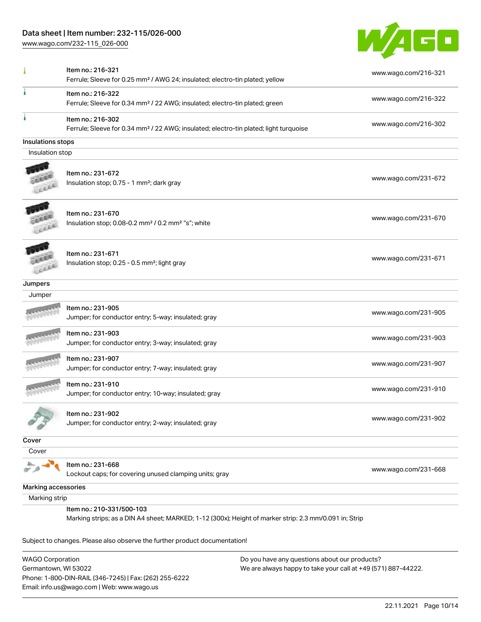### Data sheet | Item number: 232-115/026-000

[www.wago.com/232-115\\_026-000](http://www.wago.com/232-115_026-000)



|                     | Item no.: 216-321<br>Ferrule; Sleeve for 0.25 mm <sup>2</sup> / AWG 24; insulated; electro-tin plated; yellow                       | www.wago.com/216-321 |
|---------------------|-------------------------------------------------------------------------------------------------------------------------------------|----------------------|
|                     | Item no.: 216-322<br>Ferrule; Sleeve for 0.34 mm <sup>2</sup> / 22 AWG; insulated; electro-tin plated; green                        | www.wago.com/216-322 |
|                     | Item no.: 216-302<br>Ferrule; Sleeve for 0.34 mm <sup>2</sup> / 22 AWG; insulated; electro-tin plated; light turquoise              | www.wago.com/216-302 |
| Insulations stops   |                                                                                                                                     |                      |
| Insulation stop     |                                                                                                                                     |                      |
|                     | Item no.: 231-672<br>Insulation stop; 0.75 - 1 mm <sup>2</sup> ; dark gray                                                          | www.wago.com/231-672 |
|                     | Item no.: 231-670<br>Insulation stop; 0.08-0.2 mm <sup>2</sup> / 0.2 mm <sup>2</sup> "s"; white                                     | www.wago.com/231-670 |
| EXEL                | Item no.: 231-671<br>Insulation stop; 0.25 - 0.5 mm <sup>2</sup> ; light gray                                                       | www.wago.com/231-671 |
| Jumpers             |                                                                                                                                     |                      |
| Jumper              |                                                                                                                                     |                      |
|                     | Item no.: 231-905<br>Jumper; for conductor entry; 5-way; insulated; gray                                                            | www.wago.com/231-905 |
|                     | Item no.: 231-903<br>Jumper; for conductor entry; 3-way; insulated; gray                                                            | www.wago.com/231-903 |
|                     | Item no.: 231-907<br>Jumper; for conductor entry; 7-way; insulated; gray                                                            | www.wago.com/231-907 |
|                     | Item no.: 231-910<br>Jumper; for conductor entry; 10-way; insulated; gray                                                           | www.wago.com/231-910 |
|                     | Item no.: 231-902<br>Jumper; for conductor entry; 2-way; insulated; gray                                                            | www.wago.com/231-902 |
| Cover               |                                                                                                                                     |                      |
| Cover               |                                                                                                                                     |                      |
|                     | Item no.: 231-668<br>Lockout caps; for covering unused clamping units; gray                                                         | www.wago.com/231-668 |
| Marking accessories |                                                                                                                                     |                      |
| Marking strip       |                                                                                                                                     |                      |
|                     | Item no.: 210-331/500-103<br>Marking strips; as a DIN A4 sheet; MARKED; 1-12 (300x); Height of marker strip: 2.3 mm/0.091 in; Strip |                      |
|                     | Subject to changes. Please also observe the further product documentation!                                                          |                      |

WAGO Corporation Germantown, WI 53022 Phone: 1-800-DIN-RAIL (346-7245) | Fax: (262) 255-6222 Email: info.us@wago.com | Web: www.wago.us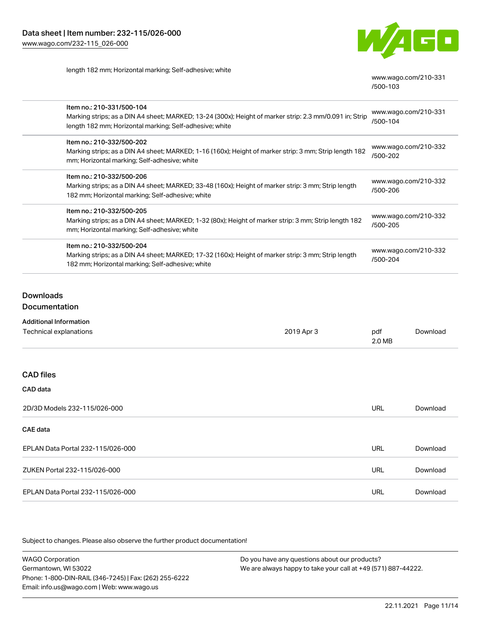

length 182 mm; Horizontal marking; Self-adhesive; white

[www.wago.com/210-331](http://www.wago.com/210-331/500-103) [/500-103](http://www.wago.com/210-331/500-103)

| Item no.: 210-331/500-104<br>Marking strips; as a DIN A4 sheet; MARKED; 13-24 (300x); Height of marker strip: 2.3 mm/0.091 in; Strip<br>length 182 mm; Horizontal marking; Self-adhesive; white | www.wago.com/210-331<br>/500-104 |
|-------------------------------------------------------------------------------------------------------------------------------------------------------------------------------------------------|----------------------------------|
| Item no.: 210-332/500-202<br>Marking strips; as a DIN A4 sheet; MARKED; 1-16 (160x); Height of marker strip: 3 mm; Strip length 182<br>mm; Horizontal marking; Self-adhesive; white             | www.wago.com/210-332<br>/500-202 |
| Item no.: 210-332/500-206<br>Marking strips; as a DIN A4 sheet; MARKED; 33-48 (160x); Height of marker strip: 3 mm; Strip length<br>182 mm; Horizontal marking; Self-adhesive; white            | www.wago.com/210-332<br>/500-206 |
| Item no.: 210-332/500-205<br>Marking strips; as a DIN A4 sheet; MARKED; 1-32 (80x); Height of marker strip: 3 mm; Strip length 182<br>mm; Horizontal marking; Self-adhesive; white              | www.wago.com/210-332<br>/500-205 |
| Item no.: 210-332/500-204<br>Marking strips; as a DIN A4 sheet; MARKED; 17-32 (160x); Height of marker strip: 3 mm; Strip length<br>182 mm; Horizontal marking; Self-adhesive; white            | www.wago.com/210-332<br>/500-204 |

### Downloads

### **Documentation**

| Additional Information |
|------------------------|
|                        |

| Technical explanations            | 2019 Apr 3 | pdf<br>2.0 MB | Download |
|-----------------------------------|------------|---------------|----------|
|                                   |            |               |          |
| <b>CAD files</b>                  |            |               |          |
| CAD data                          |            |               |          |
| 2D/3D Models 232-115/026-000      |            | <b>URL</b>    | Download |
| <b>CAE</b> data                   |            |               |          |
| EPLAN Data Portal 232-115/026-000 |            | <b>URL</b>    | Download |
| ZUKEN Portal 232-115/026-000      |            | <b>URL</b>    | Download |
| EPLAN Data Portal 232-115/026-000 |            | <b>URL</b>    | Download |

Subject to changes. Please also observe the further product documentation!

WAGO Corporation Germantown, WI 53022 Phone: 1-800-DIN-RAIL (346-7245) | Fax: (262) 255-6222 Email: info.us@wago.com | Web: www.wago.us Do you have any questions about our products? We are always happy to take your call at +49 (571) 887-44222.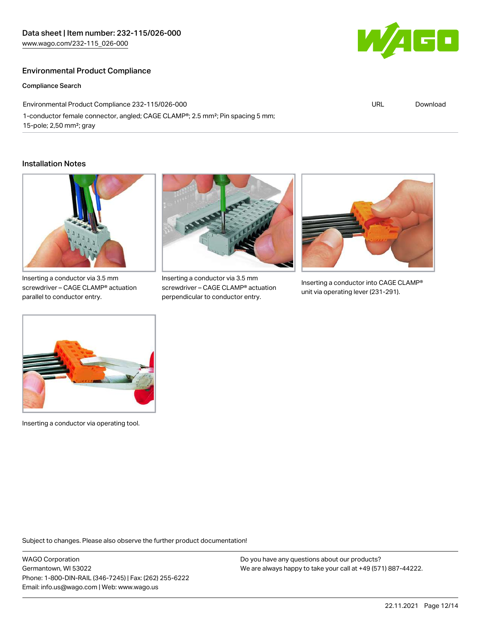### Environmental Product Compliance

Compliance Search

Environmental Product Compliance 232-115/026-000 1-conductor female connector, angled; CAGE CLAMP®; 2.5 mm²; Pin spacing 5 mm; 15-pole; 2,50 mm²; gray

#### Installation Notes



Inserting a conductor via 3.5 mm screwdriver – CAGE CLAMP® actuation parallel to conductor entry.



Inserting a conductor via 3.5 mm screwdriver – CAGE CLAMP® actuation perpendicular to conductor entry.



Inserting a conductor into CAGE CLAMP® unit via operating lever (231-291).



Inserting a conductor via operating tool.

Subject to changes. Please also observe the further product documentation!

WAGO Corporation Germantown, WI 53022 Phone: 1-800-DIN-RAIL (346-7245) | Fax: (262) 255-6222 Email: info.us@wago.com | Web: www.wago.us

Do you have any questions about our products? We are always happy to take your call at +49 (571) 887-44222.



URL [Download](https://www.wago.com/global/d/ComplianceLinkMediaContainer_232-115_026-000)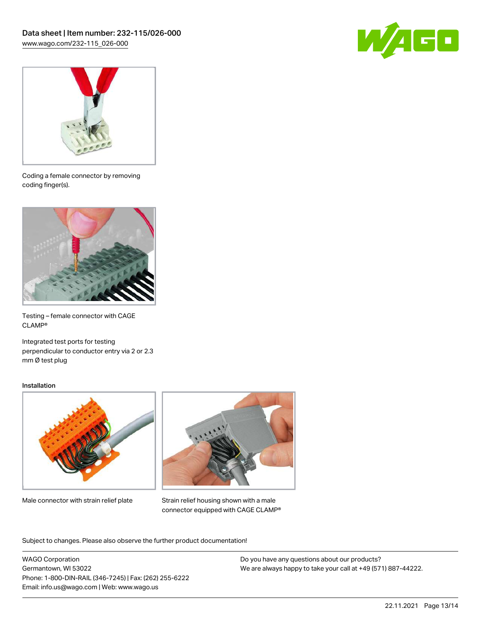



Coding a female connector by removing coding finger(s).



Testing – female connector with CAGE CLAMP®

Integrated test ports for testing perpendicular to conductor entry via 2 or 2.3 mm Ø test plug

#### Installation



Male connector with strain relief plate



Strain relief housing shown with a male connector equipped with CAGE CLAMP®

Subject to changes. Please also observe the further product documentation!

WAGO Corporation Germantown, WI 53022 Phone: 1-800-DIN-RAIL (346-7245) | Fax: (262) 255-6222 Email: info.us@wago.com | Web: www.wago.us